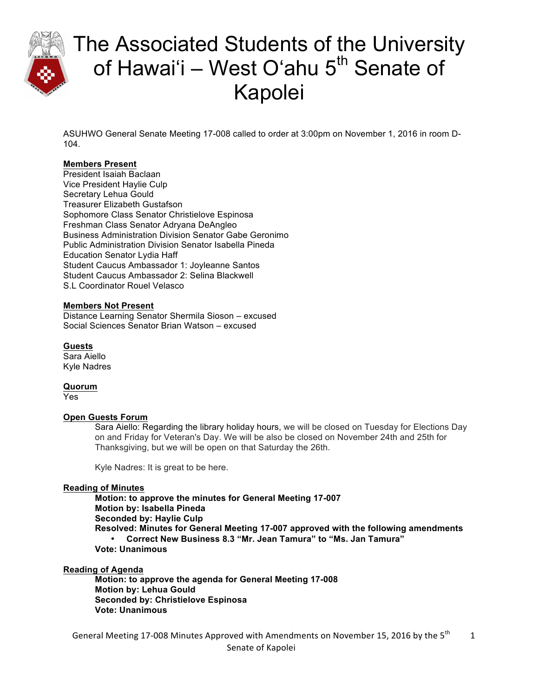

ASUHWO General Senate Meeting 17-008 called to order at 3:00pm on November 1, 2016 in room D-104.

#### **Members Present**

President Isaiah Baclaan Vice President Haylie Culp Secretary Lehua Gould Treasurer Elizabeth Gustafson Sophomore Class Senator Christielove Espinosa Freshman Class Senator Adryana DeAngleo Business Administration Division Senator Gabe Geronimo Public Administration Division Senator Isabella Pineda Education Senator Lydia Haff Student Caucus Ambassador 1: Joyleanne Santos Student Caucus Ambassador 2: Selina Blackwell S.L Coordinator Rouel Velasco

#### **Members Not Present**

Distance Learning Senator Shermila Sioson – excused Social Sciences Senator Brian Watson – excused

**Guests** Sara Aiello

Kyle Nadres

**Quorum** Yes

#### **Open Guests Forum**

Sara Aiello: Regarding the library holiday hours, we will be closed on Tuesday for Elections Day on and Friday for Veteran's Day. We will be also be closed on November 24th and 25th for Thanksgiving, but we will be open on that Saturday the 26th.

Kyle Nadres: It is great to be here.

#### **Reading of Minutes**

**Motion: to approve the minutes for General Meeting 17-007 Motion by: Isabella Pineda Seconded by: Haylie Culp Resolved: Minutes for General Meeting 17-007 approved with the following amendments** • **Correct New Business 8.3 "Mr. Jean Tamura" to "Ms. Jan Tamura" Vote: Unanimous** 

#### **Reading of Agenda**

**Motion: to approve the agenda for General Meeting 17-008 Motion by: Lehua Gould Seconded by: Christielove Espinosa Vote: Unanimous**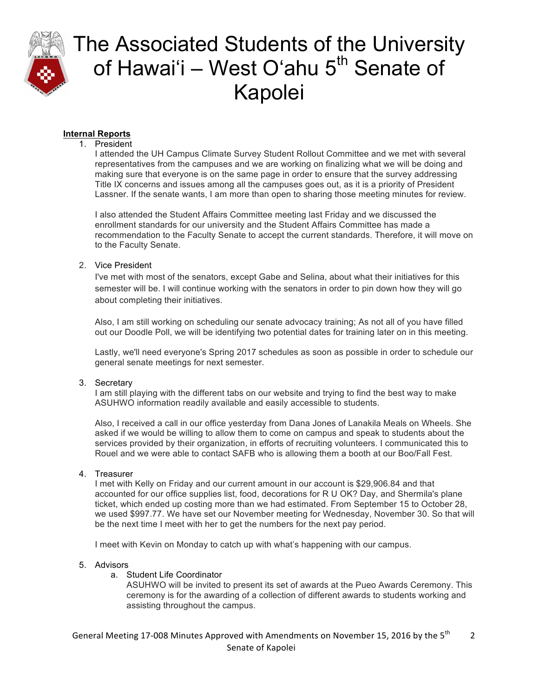

### **Internal Reports**

#### 1. President

I attended the UH Campus Climate Survey Student Rollout Committee and we met with several representatives from the campuses and we are working on finalizing what we will be doing and making sure that everyone is on the same page in order to ensure that the survey addressing Title IX concerns and issues among all the campuses goes out, as it is a priority of President Lassner. If the senate wants, I am more than open to sharing those meeting minutes for review.

I also attended the Student Affairs Committee meeting last Friday and we discussed the enrollment standards for our university and the Student Affairs Committee has made a recommendation to the Faculty Senate to accept the current standards. Therefore, it will move on to the Faculty Senate.

#### 2. Vice President

I've met with most of the senators, except Gabe and Selina, about what their initiatives for this semester will be. I will continue working with the senators in order to pin down how they will go about completing their initiatives.

Also, I am still working on scheduling our senate advocacy training; As not all of you have filled out our Doodle Poll, we will be identifying two potential dates for training later on in this meeting.

Lastly, we'll need everyone's Spring 2017 schedules as soon as possible in order to schedule our general senate meetings for next semester.

#### 3. Secretary

I am still playing with the different tabs on our website and trying to find the best way to make ASUHWO information readily available and easily accessible to students.

Also, I received a call in our office yesterday from Dana Jones of Lanakila Meals on Wheels. She asked if we would be willing to allow them to come on campus and speak to students about the services provided by their organization, in efforts of recruiting volunteers. I communicated this to Rouel and we were able to contact SAFB who is allowing them a booth at our Boo/Fall Fest.

### 4. Treasurer

I met with Kelly on Friday and our current amount in our account is \$29,906.84 and that accounted for our office supplies list, food, decorations for R U OK? Day, and Shermila's plane ticket, which ended up costing more than we had estimated. From September 15 to October 28, we used \$997.77. We have set our November meeting for Wednesday, November 30. So that will be the next time I meet with her to get the numbers for the next pay period.

I meet with Kevin on Monday to catch up with what's happening with our campus.

#### 5. Advisors

a. Student Life Coordinator

ASUHWO will be invited to present its set of awards at the Pueo Awards Ceremony. This ceremony is for the awarding of a collection of different awards to students working and assisting throughout the campus.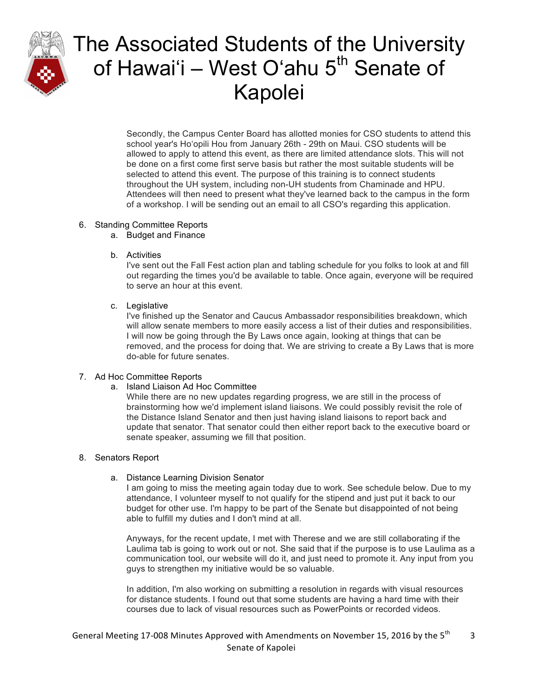

Secondly, the Campus Center Board has allotted monies for CSO students to attend this school year's Hoʻopili Hou from January 26th - 29th on Maui. CSO students will be allowed to apply to attend this event, as there are limited attendance slots. This will not be done on a first come first serve basis but rather the most suitable students will be selected to attend this event. The purpose of this training is to connect students throughout the UH system, including non-UH students from Chaminade and HPU. Attendees will then need to present what they've learned back to the campus in the form of a workshop. I will be sending out an email to all CSO's regarding this application.

#### 6. Standing Committee Reports

- a. Budget and Finance
- b. Activities

I've sent out the Fall Fest action plan and tabling schedule for you folks to look at and fill out regarding the times you'd be available to table. Once again, everyone will be required to serve an hour at this event.

c. Legislative

I've finished up the Senator and Caucus Ambassador responsibilities breakdown, which will allow senate members to more easily access a list of their duties and responsibilities. I will now be going through the By Laws once again, looking at things that can be removed, and the process for doing that. We are striving to create a By Laws that is more do-able for future senates.

#### 7. Ad Hoc Committee Reports

a. Island Liaison Ad Hoc Committee

While there are no new updates regarding progress, we are still in the process of brainstorming how we'd implement island liaisons. We could possibly revisit the role of the Distance Island Senator and then just having island liaisons to report back and update that senator. That senator could then either report back to the executive board or senate speaker, assuming we fill that position.

#### 8. Senators Report

a. Distance Learning Division Senator

I am going to miss the meeting again today due to work. See schedule below. Due to my attendance, I volunteer myself to not qualify for the stipend and just put it back to our budget for other use. I'm happy to be part of the Senate but disappointed of not being able to fulfill my duties and I don't mind at all.

Anyways, for the recent update, I met with Therese and we are still collaborating if the Laulima tab is going to work out or not. She said that if the purpose is to use Laulima as a communication tool, our website will do it, and just need to promote it. Any input from you guys to strengthen my initiative would be so valuable.

In addition, I'm also working on submitting a resolution in regards with visual resources for distance students. I found out that some students are having a hard time with their courses due to lack of visual resources such as PowerPoints or recorded videos.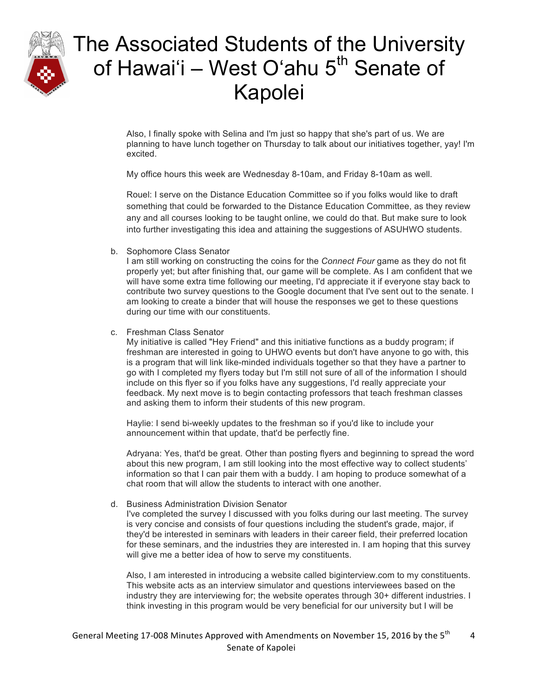

Also, I finally spoke with Selina and I'm just so happy that she's part of us. We are planning to have lunch together on Thursday to talk about our initiatives together, yay! I'm excited.

My office hours this week are Wednesday 8-10am, and Friday 8-10am as well.

Rouel: I serve on the Distance Education Committee so if you folks would like to draft something that could be forwarded to the Distance Education Committee, as they review any and all courses looking to be taught online, we could do that. But make sure to look into further investigating this idea and attaining the suggestions of ASUHWO students.

b. Sophomore Class Senator

I am still working on constructing the coins for the *Connect Four* game as they do not fit properly yet; but after finishing that, our game will be complete. As I am confident that we will have some extra time following our meeting, I'd appreciate it if everyone stay back to contribute two survey questions to the Google document that I've sent out to the senate. I am looking to create a binder that will house the responses we get to these questions during our time with our constituents.

c. Freshman Class Senator

My initiative is called "Hey Friend" and this initiative functions as a buddy program; if freshman are interested in going to UHWO events but don't have anyone to go with, this is a program that will link like-minded individuals together so that they have a partner to go with I completed my flyers today but I'm still not sure of all of the information I should include on this flyer so if you folks have any suggestions, I'd really appreciate your feedback. My next move is to begin contacting professors that teach freshman classes and asking them to inform their students of this new program.

Haylie: I send bi-weekly updates to the freshman so if you'd like to include your announcement within that update, that'd be perfectly fine.

Adryana: Yes, that'd be great. Other than posting flyers and beginning to spread the word about this new program, I am still looking into the most effective way to collect students' information so that I can pair them with a buddy. I am hoping to produce somewhat of a chat room that will allow the students to interact with one another.

d. Business Administration Division Senator

I've completed the survey I discussed with you folks during our last meeting. The survey is very concise and consists of four questions including the student's grade, major, if they'd be interested in seminars with leaders in their career field, their preferred location for these seminars, and the industries they are interested in. I am hoping that this survey will give me a better idea of how to serve my constituents.

Also, I am interested in introducing a website called biginterview.com to my constituents. This website acts as an interview simulator and questions interviewees based on the industry they are interviewing for; the website operates through 30+ different industries. I think investing in this program would be very beneficial for our university but I will be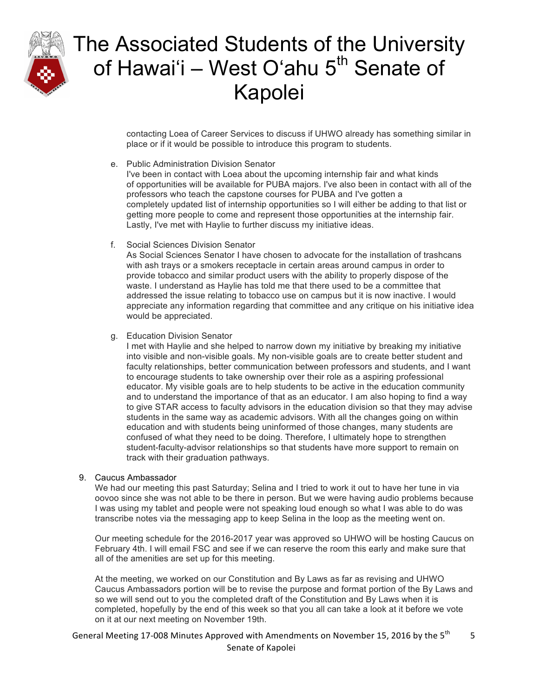

contacting Loea of Career Services to discuss if UHWO already has something similar in place or if it would be possible to introduce this program to students.

e. Public Administration Division Senator

I've been in contact with Loea about the upcoming internship fair and what kinds of opportunities will be available for PUBA majors. I've also been in contact with all of the professors who teach the capstone courses for PUBA and I've gotten a completely updated list of internship opportunities so I will either be adding to that list or getting more people to come and represent those opportunities at the internship fair. Lastly, I've met with Haylie to further discuss my initiative ideas.

f. Social Sciences Division Senator

As Social Sciences Senator I have chosen to advocate for the installation of trashcans with ash trays or a smokers receptacle in certain areas around campus in order to provide tobacco and similar product users with the ability to properly dispose of the waste. I understand as Haylie has told me that there used to be a committee that addressed the issue relating to tobacco use on campus but it is now inactive. I would appreciate any information regarding that committee and any critique on his initiative idea would be appreciated.

g. Education Division Senator

I met with Haylie and she helped to narrow down my initiative by breaking my initiative into visible and non-visible goals. My non-visible goals are to create better student and faculty relationships, better communication between professors and students, and I want to encourage students to take ownership over their role as a aspiring professional educator. My visible goals are to help students to be active in the education community and to understand the importance of that as an educator. I am also hoping to find a way to give STAR access to faculty advisors in the education division so that they may advise students in the same way as academic advisors. With all the changes going on within education and with students being uninformed of those changes, many students are confused of what they need to be doing. Therefore, I ultimately hope to strengthen student-faculty-advisor relationships so that students have more support to remain on track with their graduation pathways.

#### 9. Caucus Ambassador

We had our meeting this past Saturday; Selina and I tried to work it out to have her tune in via oovoo since she was not able to be there in person. But we were having audio problems because I was using my tablet and people were not speaking loud enough so what I was able to do was transcribe notes via the messaging app to keep Selina in the loop as the meeting went on.

Our meeting schedule for the 2016-2017 year was approved so UHWO will be hosting Caucus on February 4th. I will email FSC and see if we can reserve the room this early and make sure that all of the amenities are set up for this meeting.

At the meeting, we worked on our Constitution and By Laws as far as revising and UHWO Caucus Ambassadors portion will be to revise the purpose and format portion of the By Laws and so we will send out to you the completed draft of the Constitution and By Laws when it is completed, hopefully by the end of this week so that you all can take a look at it before we vote on it at our next meeting on November 19th.

General Meeting 17-008 Minutes Approved with Amendments on November 15, 2016 by the 5<sup>th</sup> Senate of Kapolei 5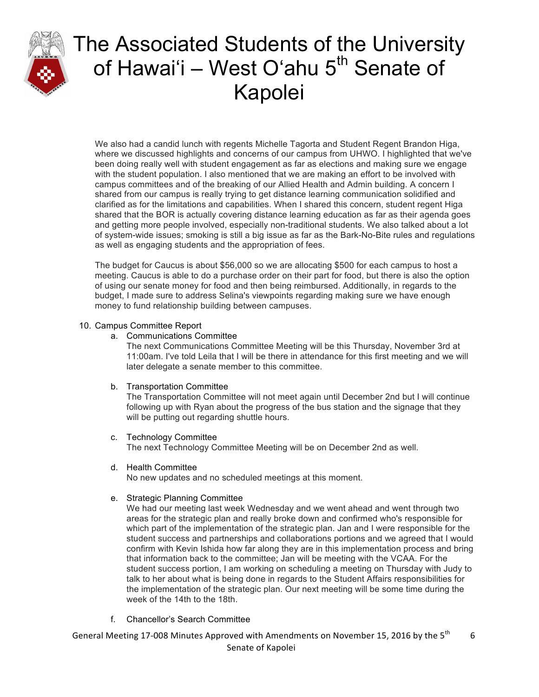

We also had a candid lunch with regents Michelle Tagorta and Student Regent Brandon Higa, where we discussed highlights and concerns of our campus from UHWO. I highlighted that we've been doing really well with student engagement as far as elections and making sure we engage with the student population. I also mentioned that we are making an effort to be involved with campus committees and of the breaking of our Allied Health and Admin building. A concern I shared from our campus is really trying to get distance learning communication solidified and clarified as for the limitations and capabilities. When I shared this concern, student regent Higa shared that the BOR is actually covering distance learning education as far as their agenda goes and getting more people involved, especially non-traditional students. We also talked about a lot of system-wide issues; smoking is still a big issue as far as the Bark-No-Bite rules and regulations as well as engaging students and the appropriation of fees.

The budget for Caucus is about \$56,000 so we are allocating \$500 for each campus to host a meeting. Caucus is able to do a purchase order on their part for food, but there is also the option of using our senate money for food and then being reimbursed. Additionally, in regards to the budget, I made sure to address Selina's viewpoints regarding making sure we have enough money to fund relationship building between campuses.

#### 10. Campus Committee Report

#### a. Communications Committee

The next Communications Committee Meeting will be this Thursday, November 3rd at 11:00am. I've told Leila that I will be there in attendance for this first meeting and we will later delegate a senate member to this committee.

#### b. Transportation Committee

The Transportation Committee will not meet again until December 2nd but I will continue following up with Ryan about the progress of the bus station and the signage that they will be putting out regarding shuttle hours.

#### c. Technology Committee

The next Technology Committee Meeting will be on December 2nd as well.

#### d. Health Committee

No new updates and no scheduled meetings at this moment.

#### e. Strategic Planning Committee

We had our meeting last week Wednesday and we went ahead and went through two areas for the strategic plan and really broke down and confirmed who's responsible for which part of the implementation of the strategic plan. Jan and I were responsible for the student success and partnerships and collaborations portions and we agreed that I would confirm with Kevin Ishida how far along they are in this implementation process and bring that information back to the committee; Jan will be meeting with the VCAA. For the student success portion, I am working on scheduling a meeting on Thursday with Judy to talk to her about what is being done in regards to the Student Affairs responsibilities for the implementation of the strategic plan. Our next meeting will be some time during the week of the 14th to the 18th.

f. Chancellor's Search Committee

General Meeting 17-008 Minutes Approved with Amendments on November 15, 2016 by the 5<sup>th</sup> Senate of Kapolei 6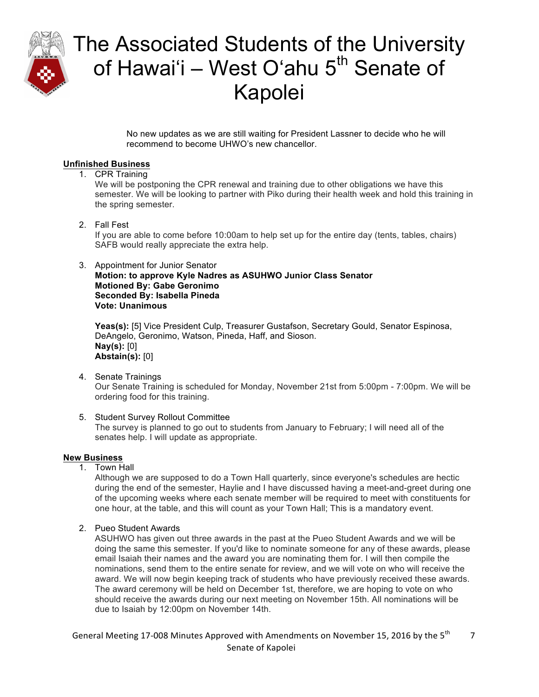

No new updates as we are still waiting for President Lassner to decide who he will recommend to become UHWO's new chancellor.

### **Unfinished Business**

1. CPR Training

We will be postponing the CPR renewal and training due to other obligations we have this semester. We will be looking to partner with Piko during their health week and hold this training in the spring semester.

2. Fall Fest

If you are able to come before 10:00am to help set up for the entire day (tents, tables, chairs) SAFB would really appreciate the extra help.

#### 3. Appointment for Junior Senator

**Motion: to approve Kyle Nadres as ASUHWO Junior Class Senator Motioned By: Gabe Geronimo Seconded By: Isabella Pineda Vote: Unanimous**

**Yeas(s):** [5] Vice President Culp, Treasurer Gustafson, Secretary Gould, Senator Espinosa, DeAngelo, Geronimo, Watson, Pineda, Haff, and Sioson. **Nay(s):** [0] **Abstain(s):** [0]

- 4. Senate Trainings Our Senate Training is scheduled for Monday, November 21st from 5:00pm - 7:00pm. We will be ordering food for this training.
- 5. Student Survey Rollout Committee The survey is planned to go out to students from January to February; I will need all of the senates help. I will update as appropriate.

#### **New Business**

1. Town Hall

Although we are supposed to do a Town Hall quarterly, since everyone's schedules are hectic during the end of the semester, Haylie and I have discussed having a meet-and-greet during one of the upcoming weeks where each senate member will be required to meet with constituents for one hour, at the table, and this will count as your Town Hall; This is a mandatory event.

2. Pueo Student Awards

ASUHWO has given out three awards in the past at the Pueo Student Awards and we will be doing the same this semester. If you'd like to nominate someone for any of these awards, please email Isaiah their names and the award you are nominating them for. I will then compile the nominations, send them to the entire senate for review, and we will vote on who will receive the award. We will now begin keeping track of students who have previously received these awards. The award ceremony will be held on December 1st, therefore, we are hoping to vote on who should receive the awards during our next meeting on November 15th. All nominations will be due to Isaiah by 12:00pm on November 14th.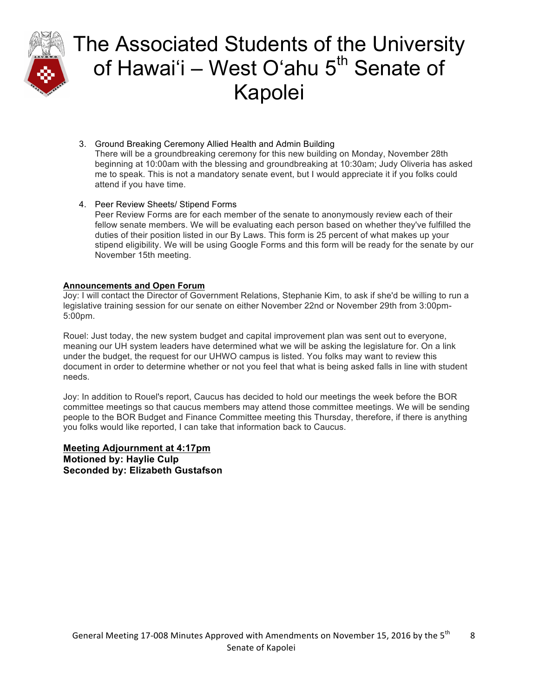

- 3. Ground Breaking Ceremony Allied Health and Admin Building There will be a groundbreaking ceremony for this new building on Monday, November 28th beginning at 10:00am with the blessing and groundbreaking at 10:30am; Judy Oliveria has asked me to speak. This is not a mandatory senate event, but I would appreciate it if you folks could attend if you have time.
- 4. Peer Review Sheets/ Stipend Forms

Peer Review Forms are for each member of the senate to anonymously review each of their fellow senate members. We will be evaluating each person based on whether they've fulfilled the duties of their position listed in our By Laws. This form is 25 percent of what makes up your stipend eligibility. We will be using Google Forms and this form will be ready for the senate by our November 15th meeting.

#### **Announcements and Open Forum**

Joy: I will contact the Director of Government Relations, Stephanie Kim, to ask if she'd be willing to run a legislative training session for our senate on either November 22nd or November 29th from 3:00pm-5:00pm.

Rouel: Just today, the new system budget and capital improvement plan was sent out to everyone, meaning our UH system leaders have determined what we will be asking the legislature for. On a link under the budget, the request for our UHWO campus is listed. You folks may want to review this document in order to determine whether or not you feel that what is being asked falls in line with student needs.

Joy: In addition to Rouel's report, Caucus has decided to hold our meetings the week before the BOR committee meetings so that caucus members may attend those committee meetings. We will be sending people to the BOR Budget and Finance Committee meeting this Thursday, therefore, if there is anything you folks would like reported, I can take that information back to Caucus.

**Meeting Adjournment at 4:17pm Motioned by: Haylie Culp Seconded by: Elizabeth Gustafson**